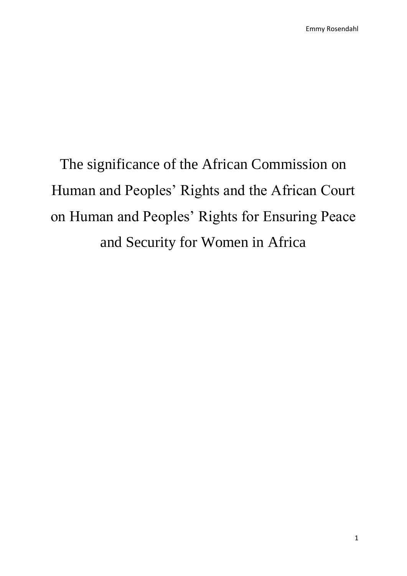The significance of the African Commission on Human and Peoples' Rights and the African Court on Human and Peoples' Rights for Ensuring Peace and Security for Women in Africa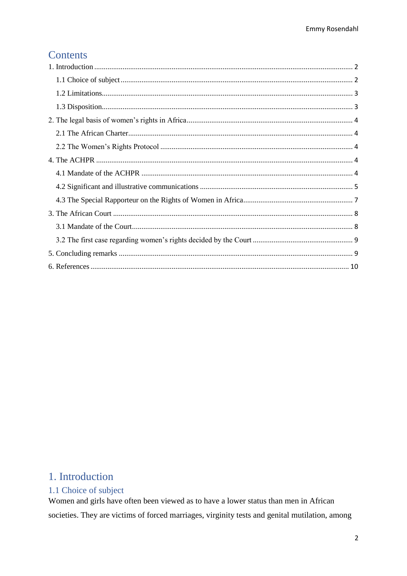# Contents

# <span id="page-1-0"></span>1. Introduction

# <span id="page-1-1"></span>1.1 Choice of subject

Women and girls have often been viewed as to have a lower status than men in African societies. They are victims of forced marriages, virginity tests and genital mutilation, among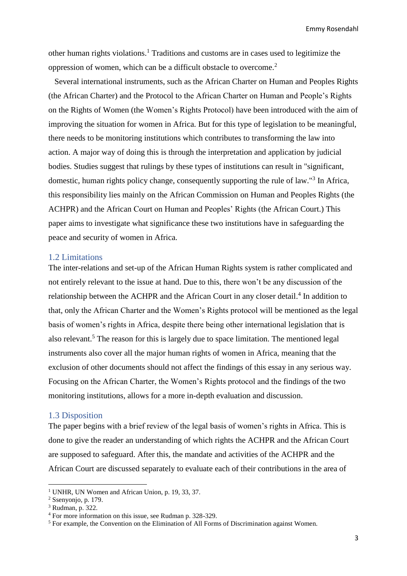other human rights violations.<sup>1</sup> Traditions and customs are in cases used to legitimize the oppression of women, which can be a difficult obstacle to overcome. 2

 Several international instruments, such as the African Charter on Human and Peoples Rights (the African Charter) and the Protocol to the African Charter on Human and People's Rights on the Rights of Women (the Women's Rights Protocol) have been introduced with the aim of improving the situation for women in Africa. But for this type of legislation to be meaningful, there needs to be monitoring institutions which contributes to transforming the law into action. A major way of doing this is through the interpretation and application by judicial bodies. Studies suggest that rulings by these types of institutions can result in "significant, domestic, human rights policy change, consequently supporting the rule of law."<sup>3</sup> In Africa, this responsibility lies mainly on the African Commission on Human and Peoples Rights (the ACHPR) and the African Court on Human and Peoples' Rights (the African Court.) This paper aims to investigate what significance these two institutions have in safeguarding the peace and security of women in Africa.

### <span id="page-2-0"></span>1.2 Limitations

The inter-relations and set-up of the African Human Rights system is rather complicated and not entirely relevant to the issue at hand. Due to this, there won't be any discussion of the relationship between the ACHPR and the African Court in any closer detail.<sup>4</sup> In addition to that, only the African Charter and the Women's Rights protocol will be mentioned as the legal basis of women's rights in Africa, despite there being other international legislation that is also relevant.<sup>5</sup> The reason for this is largely due to space limitation. The mentioned legal instruments also cover all the major human rights of women in Africa, meaning that the exclusion of other documents should not affect the findings of this essay in any serious way. Focusing on the African Charter, the Women's Rights protocol and the findings of the two monitoring institutions, allows for a more in-depth evaluation and discussion.

# <span id="page-2-1"></span>1.3 Disposition

The paper begins with a brief review of the legal basis of women's rights in Africa. This is done to give the reader an understanding of which rights the ACHPR and the African Court are supposed to safeguard. After this, the mandate and activities of the ACHPR and the African Court are discussed separately to evaluate each of their contributions in the area of

**.** 

<sup>&</sup>lt;sup>1</sup> UNHR, UN Women and African Union, p. 19, 33, 37.

<sup>2</sup> Ssenyonjo, p. 179.

<sup>3</sup> Rudman, p. 322.

<sup>4</sup> For more information on this issue, see Rudman p. 328-329.

 $<sup>5</sup>$  For example, the Convention on the Elimination of All Forms of Discrimination against Women.</sup>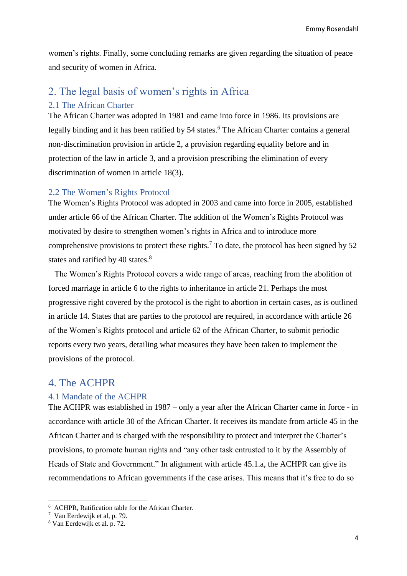women's rights. Finally, some concluding remarks are given regarding the situation of peace and security of women in Africa.

# <span id="page-3-0"></span>2. The legal basis of women's rights in Africa

# <span id="page-3-1"></span>2.1 The African Charter

The African Charter was adopted in 1981 and came into force in 1986. Its provisions are legally binding and it has been ratified by 54 states.<sup>6</sup> The African Charter contains a general non-discrimination provision in article 2, a provision regarding equality before and in protection of the law in article 3, and a provision prescribing the elimination of every discrimination of women in article 18(3).

### <span id="page-3-2"></span>2.2 The Women's Rights Protocol

The Women's Rights Protocol was adopted in 2003 and came into force in 2005, established under article 66 of the African Charter. The addition of the Women's Rights Protocol was motivated by desire to strengthen women's rights in Africa and to introduce more comprehensive provisions to protect these rights. <sup>7</sup> To date, the protocol has been signed by 52 states and ratified by 40 states.<sup>8</sup>

 The Women's Rights Protocol covers a wide range of areas, reaching from the abolition of forced marriage in article 6 to the rights to inheritance in article 21. Perhaps the most progressive right covered by the protocol is the right to abortion in certain cases, as is outlined in article 14. States that are parties to the protocol are required, in accordance with article 26 of the Women's Rights protocol and article 62 of the African Charter, to submit periodic reports every two years, detailing what measures they have been taken to implement the provisions of the protocol.

# <span id="page-3-3"></span>4. The ACHPR

## <span id="page-3-4"></span>4.1 Mandate of the ACHPR

The ACHPR was established in 1987 – only a year after the African Charter came in force - in accordance with article 30 of the African Charter. It receives its mandate from article 45 in the African Charter and is charged with the responsibility to protect and interpret the Charter's provisions, to promote human rights and "any other task entrusted to it by the Assembly of Heads of State and Government." In alignment with article 45.1.a, the ACHPR can give its recommendations to African governments if the case arises. This means that it's free to do so

<sup>6</sup> ACHPR, Ratification table for the African Charter.

<sup>7</sup> Van Eerdewijk et al, p. 79.

<sup>8</sup> Van Eerdewijk et al. p. 72.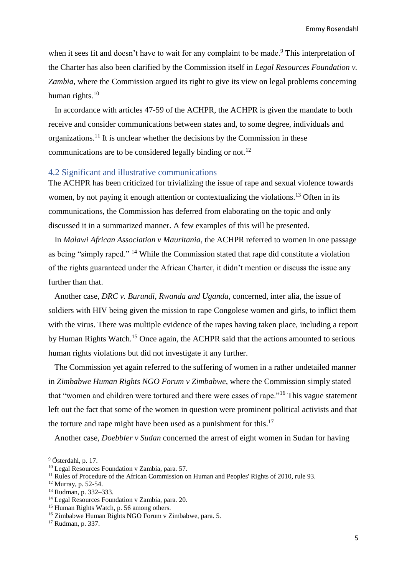when it sees fit and doesn't have to wait for any complaint to be made.<sup>9</sup> This interpretation of the Charter has also been clarified by the Commission itself in *Legal Resources Foundation v. Zambia*, where the Commission argued its right to give its view on legal problems concerning human rights. $10$ 

 In accordance with articles 47-59 of the ACHPR, the ACHPR is given the mandate to both receive and consider communications between states and, to some degree, individuals and organizations. <sup>11</sup> It is unclear whether the decisions by the Commission in these communications are to be considered legally binding or not.<sup>12</sup>

#### <span id="page-4-0"></span>4.2 Significant and illustrative communications

The ACHPR has been criticized for trivializing the issue of rape and sexual violence towards women, by not paying it enough attention or contextualizing the violations.<sup>13</sup> Often in its communications, the Commission has deferred from elaborating on the topic and only discussed it in a summarized manner. A few examples of this will be presented.

 In *Malawi African Association v Mauritania*, the ACHPR referred to women in one passage as being "simply raped." <sup>14</sup> While the Commission stated that rape did constitute a violation of the rights guaranteed under the African Charter, it didn't mention or discuss the issue any further than that.

 Another case, *DRC v. Burundi, Rwanda and Uganda*, concerned, inter alia, the issue of soldiers with HIV being given the mission to rape Congolese women and girls, to inflict them with the virus. There was multiple evidence of the rapes having taken place, including a report by Human Rights Watch.<sup>15</sup> Once again, the ACHPR said that the actions amounted to serious human rights violations but did not investigate it any further.

 The Commission yet again referred to the suffering of women in a rather undetailed manner in *Zimbabwe Human Rights NGO Forum v Zimbabwe*, where the Commission simply stated that "women and children were tortured and there were cases of rape."<sup>16</sup> This vague statement left out the fact that some of the women in question were prominent political activists and that the torture and rape might have been used as a punishment for this.<sup>17</sup>

Another case, *Doebbler v Sudan* concerned the arrest of eight women in Sudan for having

<sup>9</sup> Österdahl, p. 17.

<sup>&</sup>lt;sup>10</sup> Legal Resources Foundation v Zambia, para. 57.

 $11$  Rules of Procedure of the African Commission on Human and Peoples' Rights of 2010, rule 93.

<sup>12</sup> Murray, p. 52-54.

<sup>13</sup> Rudman, p. 332–333.

<sup>14</sup> Legal Resources Foundation v Zambia, para. 20.

<sup>&</sup>lt;sup>15</sup> Human Rights Watch, p. 56 among others.

<sup>16</sup> Zimbabwe Human Rights NGO Forum v Zimbabwe, para. 5.

<sup>17</sup> Rudman, p. 337.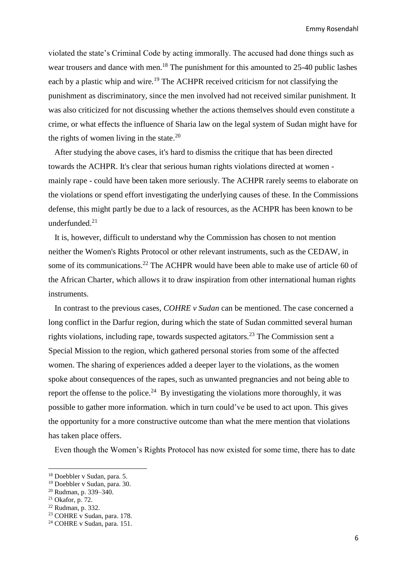violated the state's Criminal Code by acting immorally. The accused had done things such as wear trousers and dance with men.<sup>18</sup> The punishment for this amounted to 25-40 public lashes each by a plastic whip and wire.<sup>19</sup> The ACHPR received criticism for not classifying the punishment as discriminatory, since the men involved had not received similar punishment. It was also criticized for not discussing whether the actions themselves should even constitute a crime, or what effects the influence of Sharia law on the legal system of Sudan might have for the rights of women living in the state. $20$ 

 After studying the above cases, it's hard to dismiss the critique that has been directed towards the ACHPR. It's clear that serious human rights violations directed at women mainly rape - could have been taken more seriously. The ACHPR rarely seems to elaborate on the violations or spend effort investigating the underlying causes of these. In the Commissions defense, this might partly be due to a lack of resources, as the ACHPR has been known to be underfunded. 21

 It is, however, difficult to understand why the Commission has chosen to not mention neither the Women's Rights Protocol or other relevant instruments, such as the CEDAW, in some of its communications.<sup>22</sup> The ACHPR would have been able to make use of article 60 of the African Charter, which allows it to draw inspiration from other international human rights instruments.

 In contrast to the previous cases, *COHRE v Sudan* can be mentioned. The case concerned a long conflict in the Darfur region, during which the state of Sudan committed several human rights violations, including rape, towards suspected agitators.<sup>23</sup> The Commission sent a Special Mission to the region, which gathered personal stories from some of the affected women. The sharing of experiences added a deeper layer to the violations, as the women spoke about consequences of the rapes, such as unwanted pregnancies and not being able to report the offense to the police.<sup>24</sup> By investigating the violations more thoroughly, it was possible to gather more information. which in turn could've be used to act upon. This gives the opportunity for a more constructive outcome than what the mere mention that violations has taken place offers.

Even though the Women's Rights Protocol has now existed for some time, there has to date

**.** 

<sup>18</sup> Doebbler v Sudan, para. 5.

<sup>19</sup> Doebbler v Sudan, para. 30.

<sup>20</sup> Rudman, p. 339–340.

<sup>21</sup> Okafor, p. 72.

<sup>22</sup> Rudman, p. 332.

<sup>&</sup>lt;sup>23</sup> COHRE v Sudan, para. 178.

<sup>24</sup> COHRE v Sudan, para. 151.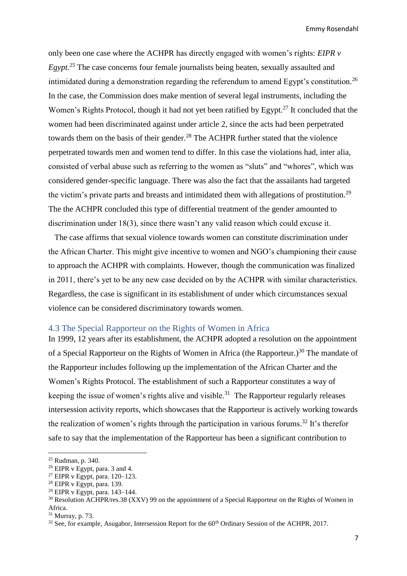only been one case where the ACHPR has directly engaged with women's rights: *EIPR v Egypt.*<sup>25</sup> The case concerns four female journalists being beaten, sexually assaulted and intimidated during a demonstration regarding the referendum to amend Egypt's constitution.<sup>26</sup> In the case, the Commission does make mention of several legal instruments, including the Women's Rights Protocol, though it had not yet been ratified by Egypt.<sup>27</sup> It concluded that the women had been discriminated against under article 2, since the acts had been perpetrated towards them on the basis of their gender.<sup>28</sup> The ACHPR further stated that the violence perpetrated towards men and women tend to differ. In this case the violations had, inter alia, consisted of verbal abuse such as referring to the women as "sluts" and "whores", which was considered gender-specific language. There was also the fact that the assailants had targeted the victim's private parts and breasts and intimidated them with allegations of prostitution.<sup>29</sup> The the ACHPR concluded this type of differential treatment of the gender amounted to discrimination under 18(3), since there wasn't any valid reason which could excuse it.

 The case affirms that sexual violence towards women can constitute discrimination under the African Charter. This might give incentive to women and NGO's championing their cause to approach the ACHPR with complaints. However, though the communication was finalized in 2011, there's yet to be any new case decided on by the ACHPR with similar characteristics. Regardless, the case is significant in its establishment of under which circumstances sexual violence can be considered discriminatory towards women.

# <span id="page-6-0"></span>4.3 The Special Rapporteur on the Rights of Women in Africa

In 1999, 12 years after its establishment, the ACHPR adopted a resolution on the appointment of a Special Rapporteur on the Rights of Women in Africa (the Rapporteur.)<sup>30</sup> The mandate of the Rapporteur includes following up the implementation of the African Charter and the Women's Rights Protocol. The establishment of such a Rapporteur constitutes a way of keeping the issue of women's rights alive and visible.<sup>31</sup> The Rapporteur regularly releases intersession activity reports, which showcases that the Rapporteur is actively working towards the realization of women's rights through the participation in various forums.<sup>32</sup> It's therefor safe to say that the implementation of the Rapporteur has been a significant contribution to

<sup>25</sup> Rudman, p. 340.

 $26$  EIPR v Egypt, para. 3 and 4.

<sup>&</sup>lt;sup>27</sup> EIPR v Egypt, para.  $120-123$ .

 $28$  EIPR v Egypt, para. 139.

 $29$  EIPR v Egypt, para. 143–144.

<sup>30</sup> Resolution ACHPR/res.38 (XXV) 99 on the appointment of a Special Rapporteur on the Rights of Women in Africa.

<sup>31</sup> Murray, p. 73.

 $32$  See, for example, Asugabor, Intersession Report for the  $60<sup>th</sup>$  Ordinary Session of the ACHPR, 2017.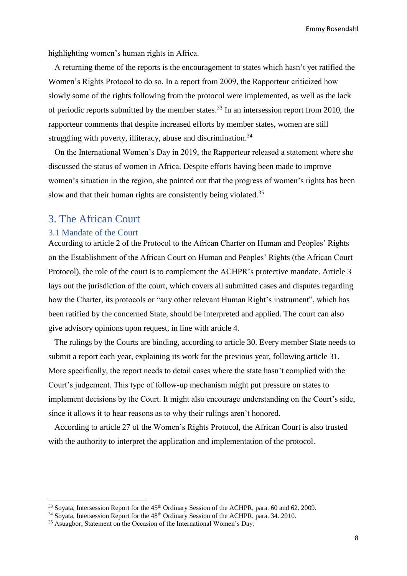highlighting women's human rights in Africa.

 A returning theme of the reports is the encouragement to states which hasn't yet ratified the Women's Rights Protocol to do so. In a report from 2009, the Rapporteur criticized how slowly some of the rights following from the protocol were implemented, as well as the lack of periodic reports submitted by the member states.<sup>33</sup> In an intersession report from 2010, the rapporteur comments that despite increased efforts by member states, women are still struggling with poverty, illiteracy, abuse and discrimination.<sup>34</sup>

 On the International Women's Day in 2019, the Rapporteur released a statement where she discussed the status of women in Africa. Despite efforts having been made to improve women's situation in the region, she pointed out that the progress of women's rights has been slow and that their human rights are consistently being violated.<sup>35</sup>

# <span id="page-7-0"></span>3. The African Court

#### <span id="page-7-1"></span>3.1 Mandate of the Court

1

According to article 2 of the Protocol to the African Charter on Human and Peoples' Rights on the Establishment of the African Court on Human and Peoples' Rights (the African Court Protocol), the role of the court is to complement the ACHPR's protective mandate. Article 3 lays out the jurisdiction of the court, which covers all submitted cases and disputes regarding how the Charter, its protocols or "any other relevant Human Right's instrument", which has been ratified by the concerned State, should be interpreted and applied. The court can also give advisory opinions upon request, in line with article 4.

 The rulings by the Courts are binding, according to article 30. Every member State needs to submit a report each year, explaining its work for the previous year, following article 31. More specifically, the report needs to detail cases where the state hasn't complied with the Court's judgement. This type of follow-up mechanism might put pressure on states to implement decisions by the Court. It might also encourage understanding on the Court's side, since it allows it to hear reasons as to why their rulings aren't honored.

 According to article 27 of the Women's Rights Protocol, the African Court is also trusted with the authority to interpret the application and implementation of the protocol.

<sup>&</sup>lt;sup>33</sup> Soyata, Intersession Report for the 45<sup>th</sup> Ordinary Session of the ACHPR, para. 60 and 62. 2009.

<sup>&</sup>lt;sup>34</sup> Soyata, Intersession Report for the 48<sup>th</sup> Ordinary Session of the ACHPR, para. 34. 2010.

<sup>&</sup>lt;sup>35</sup> Asuagbor, Statement on the Occasion of the International Women's Day.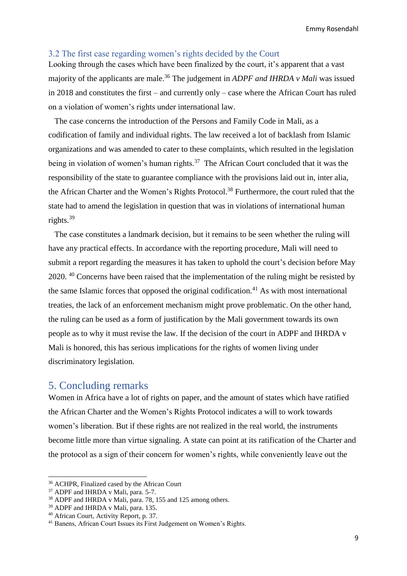# <span id="page-8-0"></span>3.2 The first case regarding women's rights decided by the Court

Looking through the cases which have been finalized by the court, it's apparent that a vast majority of the applicants are male.<sup>36</sup> The judgement in *ADPF and IHRDA v Mali* was issued in 2018 and constitutes the first – and currently only – case where the African Court has ruled on a violation of women's rights under international law.

 The case concerns the introduction of the Persons and Family Code in Mali, as a codification of family and individual rights. The law received a lot of backlash from Islamic organizations and was amended to cater to these complaints, which resulted in the legislation being in violation of women's human rights.<sup>37</sup> The African Court concluded that it was the responsibility of the state to guarantee compliance with the provisions laid out in, inter alia, the African Charter and the Women's Rights Protocol.<sup>38</sup> Furthermore, the court ruled that the state had to amend the legislation in question that was in violations of international human rights.<sup>39</sup>

 The case constitutes a landmark decision, but it remains to be seen whether the ruling will have any practical effects. In accordance with the reporting procedure, Mali will need to submit a report regarding the measures it has taken to uphold the court's decision before May 2020.<sup>40</sup> Concerns have been raised that the implementation of the ruling might be resisted by the same Islamic forces that opposed the original codification. $41$  As with most international treaties, the lack of an enforcement mechanism might prove problematic. On the other hand, the ruling can be used as a form of justification by the Mali government towards its own people as to why it must revise the law. If the decision of the court in ADPF and IHRDA v Mali is honored, this has serious implications for the rights of women living under discriminatory legislation.

# <span id="page-8-1"></span>5. Concluding remarks

Women in Africa have a lot of rights on paper, and the amount of states which have ratified the African Charter and the Women's Rights Protocol indicates a will to work towards women's liberation. But if these rights are not realized in the real world, the instruments become little more than virtue signaling. A state can point at its ratification of the Charter and the protocol as a sign of their concern for women's rights, while conveniently leave out the

 $\overline{\phantom{a}}$ 

<sup>36</sup> ACHPR, Finalized cased by the African Court

<sup>37</sup> ADPF and IHRDA v Mali, para. 5-7.

<sup>38</sup> ADPF and IHRDA v Mali, para. 78, 155 and 125 among others.

<sup>39</sup> ADPF and IHRDA v Mali, para. 135.

<sup>40</sup> African Court, Activity Report, p. 37.

<sup>41</sup> Banens, African Court Issues its First Judgement on Women's Rights.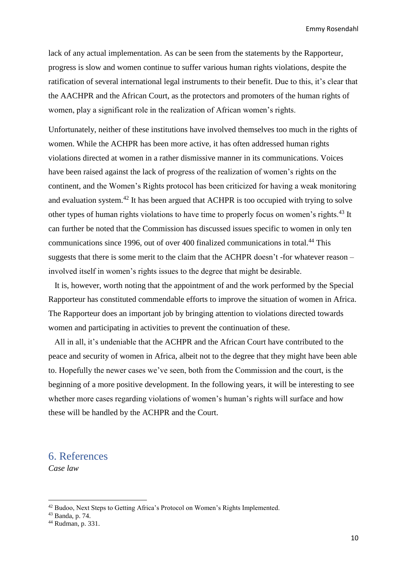lack of any actual implementation. As can be seen from the statements by the Rapporteur, progress is slow and women continue to suffer various human rights violations, despite the ratification of several international legal instruments to their benefit. Due to this, it's clear that the AACHPR and the African Court, as the protectors and promoters of the human rights of women, play a significant role in the realization of African women's rights.

Unfortunately, neither of these institutions have involved themselves too much in the rights of women. While the ACHPR has been more active, it has often addressed human rights violations directed at women in a rather dismissive manner in its communications. Voices have been raised against the lack of progress of the realization of women's rights on the continent, and the Women's Rights protocol has been criticized for having a weak monitoring and evaluation system.<sup>42</sup> It has been argued that ACHPR is too occupied with trying to solve other types of human rights violations to have time to properly focus on women's rights.<sup>43</sup> It can further be noted that the Commission has discussed issues specific to women in only ten communications since 1996, out of over 400 finalized communications in total.<sup>44</sup> This suggests that there is some merit to the claim that the ACHPR doesn't -for whatever reason – involved itself in women's rights issues to the degree that might be desirable.

 It is, however, worth noting that the appointment of and the work performed by the Special Rapporteur has constituted commendable efforts to improve the situation of women in Africa. The Rapporteur does an important job by bringing attention to violations directed towards women and participating in activities to prevent the continuation of these.

 All in all, it's undeniable that the ACHPR and the African Court have contributed to the peace and security of women in Africa, albeit not to the degree that they might have been able to. Hopefully the newer cases we've seen, both from the Commission and the court, is the beginning of a more positive development. In the following years, it will be interesting to see whether more cases regarding violations of women's human's rights will surface and how these will be handled by the ACHPR and the Court.

# <span id="page-9-0"></span>6. References

*Case law*

<sup>42</sup> Budoo, Next Steps to Getting Africa's Protocol on Women's Rights Implemented.

<sup>43</sup> Banda, p. 74.

<sup>44</sup> Rudman, p. 331.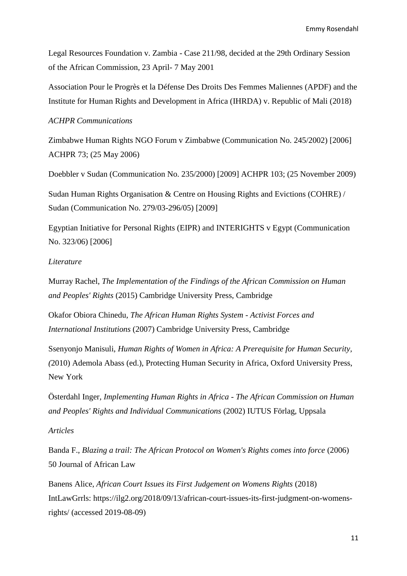Legal Resources Foundation v. Zambia - Case 211/98, decided at the 29th Ordinary Session of the African Commission, 23 April- 7 May 2001

Association Pour le Progrès et la Défense Des Droits Des Femmes Maliennes (APDF) and the Institute for Human Rights and Development in Africa (IHRDA) v. Republic of Mali (2018)

# *ACHPR Communications*

Zimbabwe Human Rights NGO Forum v Zimbabwe (Communication No. 245/2002) [2006] ACHPR 73; (25 May 2006)

Doebbler v Sudan (Communication No. 235/2000) [2009] ACHPR 103; (25 November 2009)

Sudan Human Rights Organisation & Centre on Housing Rights and Evictions (COHRE) / Sudan (Communication No. 279/03-296/05) [2009]

Egyptian Initiative for Personal Rights (EIPR) and INTERIGHTS v Egypt (Communication No. 323/06) [2006]

## *Literature*

Murray Rachel, *The Implementation of the Findings of the African Commission on Human and Peoples' Rights* (2015) Cambridge University Press, Cambridge

Okafor Obiora Chinedu*, The African Human Rights System - Activist Forces and International Institutions* (2007) Cambridge University Press, Cambridge

Ssenyonjo Manisuli, *Human Rights of Women in Africa: A Prerequisite for Human Security, (*2010) Ademola Abass (ed.), Protecting Human Security in Africa, Oxford University Press, New York

Österdahl Inger, *Implementing Human Rights in Africa - The African Commission on Human and Peoples' Rights and Individual Communications* (2002) IUTUS Förlag, Uppsala

## *Articles*

Banda F., *Blazing a trail: The African Protocol on Women's Rights comes into force* (2006) 50 Journal of African Law

Banens Alice, *African Court Issues its First Judgement on Womens Rights* (2018) IntLawGrrls: [https://ilg2.org/2018/09/13/african-court-issues-its-first-judgment-on-womens](https://ilg2.org/2018/09/13/african-court-issues-its-first-judgment-on-womens-rights/)[rights/](https://ilg2.org/2018/09/13/african-court-issues-its-first-judgment-on-womens-rights/) (accessed 2019-08-09)